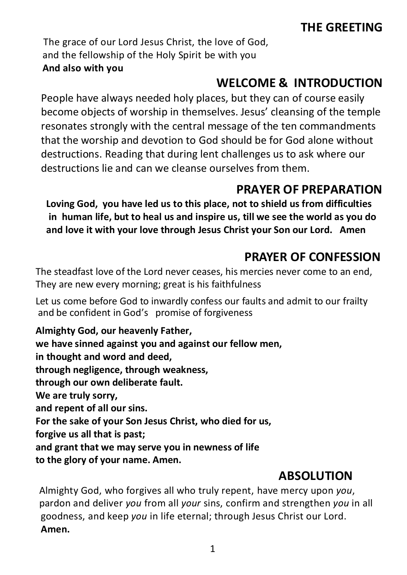# THE GREETING

The grace of our Lord Jesus Christ, the love of God, and the fellowship of the Holy Spirit be with you And also with you

# WELCOME & INTRODUCTION

People have always needed holy places, but they can of course easily become objects of worship in themselves. Jesus' cleansing of the temple resonates strongly with the central message of the ten commandments that the worship and devotion to God should be for God alone without destructions. Reading that during lent challenges us to ask where our destructions lie and can we cleanse ourselves from them.

# PRAYER OF PREPARATION

Loving God, you have led us to this place, not to shield us from difficulties in human life, but to heal us and inspire us, till we see the world as you do and love it with your love through Jesus Christ your Son our Lord. Amen

# PRAYER OF CONFESSION

The steadfast love of the Lord never ceases, his mercies never come to an end, They are new every morning; great is his faithfulness

Let us come before God to inwardly confess our faults and admit to our frailty and be confident in God's promise of forgiveness

Almighty God, our heavenly Father, we have sinned against you and against our fellow men, in thought and word and deed, through negligence, through weakness, through our own deliberate fault. We are truly sorry, and repent of all our sins. For the sake of your Son Jesus Christ, who died for us, forgive us all that is past; and grant that we may serve you in newness of life to the glory of your name. Amen.

## ABSOLUTION

Almighty God, who forgives all who truly repent, have mercy upon you, pardon and deliver you from all your sins, confirm and strengthen you in all goodness, and keep you in life eternal; through Jesus Christ our Lord. Amen.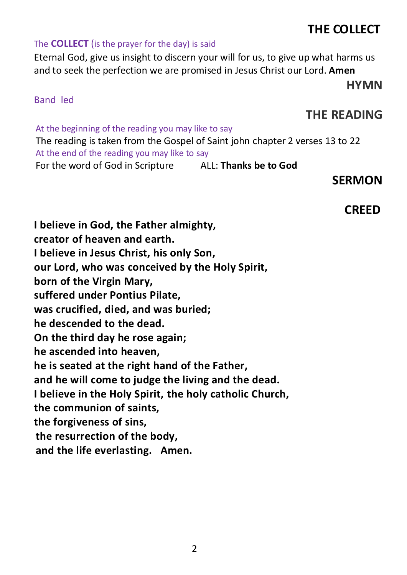2

# THE COLLECT

#### The **COLLECT** (is the prayer for the day) is said

Eternal God, give us insight to discern your will for us, to give up what harms us and to seek the perfection we are promised in Jesus Christ our Lord. Amen

#### Band led

## THE READING

HYMN

At the beginning of the reading you may like to say The reading is taken from the Gospel of Saint john chapter 2 verses 13 to 22 At the end of the reading you may like to say For the word of God in Scripture ALL: Thanks be to God

### SERMON

## CREED

I believe in God, the Father almighty, creator of heaven and earth. I believe in Jesus Christ, his only Son, our Lord, who was conceived by the Holy Spirit, born of the Virgin Mary, suffered under Pontius Pilate, was crucified, died, and was buried; he descended to the dead. On the third day he rose again; he ascended into heaven, he is seated at the right hand of the Father, and he will come to judge the living and the dead. I believe in the Holy Spirit, the holy catholic Church, the communion of saints, the forgiveness of sins, the resurrection of the body, and the life everlasting. Amen.